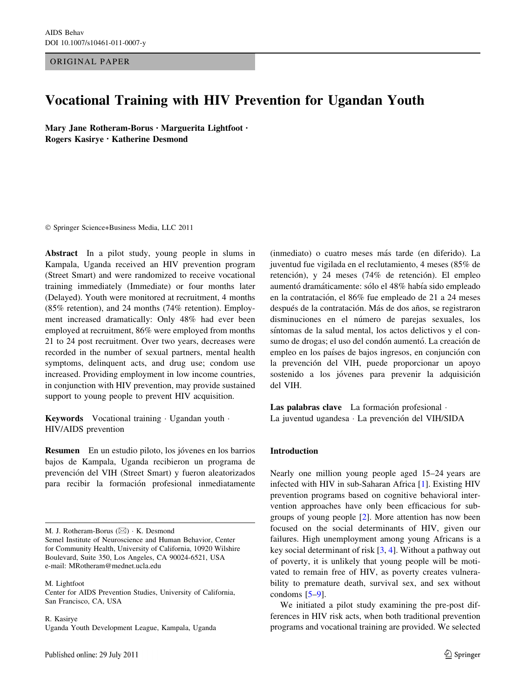ORIGINAL PAPER

# Vocational Training with HIV Prevention for Ugandan Youth

Mary Jane Rotheram-Borus • Marguerita Lightfoot • Rogers Kasirye • Katherine Desmond

- Springer Science+Business Media, LLC 2011

Abstract In a pilot study, young people in slums in Kampala, Uganda received an HIV prevention program (Street Smart) and were randomized to receive vocational training immediately (Immediate) or four months later (Delayed). Youth were monitored at recruitment, 4 months (85% retention), and 24 months (74% retention). Employment increased dramatically: Only 48% had ever been employed at recruitment, 86% were employed from months 21 to 24 post recruitment. Over two years, decreases were recorded in the number of sexual partners, mental health symptoms, delinquent acts, and drug use; condom use increased. Providing employment in low income countries, in conjunction with HIV prevention, may provide sustained support to young people to prevent HIV acquisition.

Keywords Vocational training · Ugandan youth · HIV/AIDS prevention

Resumen En un estudio piloto, los jóvenes en los barrios bajos de Kampala, Uganda recibieron un programa de prevención del VIH (Street Smart) y fueron aleatorizados para recibir la formación profesional inmediatamente

M. J. Rotheram-Borus  $(\boxtimes) \cdot K$ . Desmond

M. Lightfoot Center for AIDS Prevention Studies, University of California, San Francisco, CA, USA

R. Kasirye Uganda Youth Development League, Kampala, Uganda (inmediato) o cuatro meses ma´s tarde (en diferido). La juventud fue vigilada en el reclutamiento, 4 meses (85% de retención), y 24 meses (74% de retención). El empleo aumentó dramáticamente: sólo el 48% había sido empleado en la contratación, el 86% fue empleado de 21 a 24 meses después de la contratación. Más de dos años, se registraron disminuciones en el número de parejas sexuales, los síntomas de la salud mental, los actos delictivos y el consumo de drogas; el uso del condón aumentó. La creación de empleo en los países de bajos ingresos, en conjunción con la prevención del VIH, puede proporcionar un apoyo sostenido a los jóvenes para prevenir la adquisición del VIH.

Las palabras clave La formación profesional -La juventud ugandesa · La prevención del VIH/SIDA

#### Introduction

Nearly one million young people aged 15–24 years are infected with HIV in sub-Saharan Africa [[1\]](#page-4-0). Existing HIV prevention programs based on cognitive behavioral intervention approaches have only been efficacious for subgroups of young people [\[2](#page-4-0)]. More attention has now been focused on the social determinants of HIV, given our failures. High unemployment among young Africans is a key social determinant of risk [\[3](#page-4-0), [4](#page-4-0)]. Without a pathway out of poverty, it is unlikely that young people will be motivated to remain free of HIV, as poverty creates vulnerability to premature death, survival sex, and sex without condoms [[5–9\]](#page-4-0).

We initiated a pilot study examining the pre-post differences in HIV risk acts, when both traditional prevention programs and vocational training are provided. We selected

Semel Institute of Neuroscience and Human Behavior, Center for Community Health, University of California, 10920 Wilshire Boulevard, Suite 350, Los Angeles, CA 90024-6521, USA e-mail: MRotheram@mednet.ucla.edu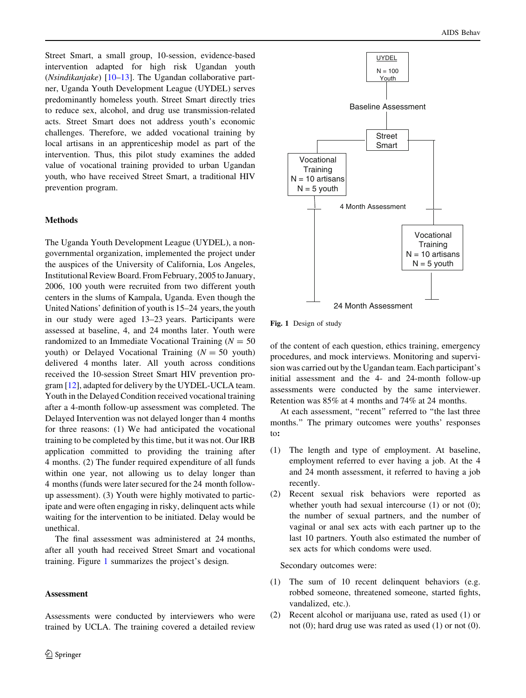Street Smart, a small group, 10-session, evidence-based intervention adapted for high risk Ugandan youth (*Nsindikanjake*)  $[10-13]$ . The Ugandan collaborative partner, Uganda Youth Development League (UYDEL) serves predominantly homeless youth. Street Smart directly tries to reduce sex, alcohol, and drug use transmission-related acts. Street Smart does not address youth's economic challenges. Therefore, we added vocational training by local artisans in an apprenticeship model as part of the intervention. Thus, this pilot study examines the added value of vocational training provided to urban Ugandan youth, who have received Street Smart, a traditional HIV prevention program.

# Methods

The Uganda Youth Development League (UYDEL), a nongovernmental organization, implemented the project under the auspices of the University of California, Los Angeles, Institutional Review Board. From February, 2005 to January, 2006, 100 youth were recruited from two different youth centers in the slums of Kampala, Uganda. Even though the United Nations' definition of youth is 15–24 years, the youth in our study were aged 13–23 years. Participants were assessed at baseline, 4, and 24 months later. Youth were randomized to an Immediate Vocational Training ( $N = 50$ youth) or Delayed Vocational Training  $(N = 50$  youth) delivered 4 months later. All youth across conditions received the 10-session Street Smart HIV prevention program [[12\]](#page-4-0), adapted for delivery by the UYDEL-UCLA team. Youth in the Delayed Condition received vocational training after a 4-month follow-up assessment was completed. The Delayed Intervention was not delayed longer than 4 months for three reasons: (1) We had anticipated the vocational training to be completed by this time, but it was not. Our IRB application committed to providing the training after 4 months. (2) The funder required expenditure of all funds within one year, not allowing us to delay longer than 4 months (funds were later secured for the 24 month followup assessment). (3) Youth were highly motivated to participate and were often engaging in risky, delinquent acts while waiting for the intervention to be initiated. Delay would be unethical.

The final assessment was administered at 24 months, after all youth had received Street Smart and vocational training. Figure 1 summarizes the project's design.

# Assessment

Assessments were conducted by interviewers who were trained by UCLA. The training covered a detailed review



Fig. 1 Design of study

of the content of each question, ethics training, emergency procedures, and mock interviews. Monitoring and supervision was carried out by the Ugandan team. Each participant's initial assessment and the 4- and 24-month follow-up assessments were conducted by the same interviewer. Retention was 85% at 4 months and 74% at 24 months.

At each assessment, "recent" referred to "the last three months.'' The primary outcomes were youths' responses to:

- (1) The length and type of employment. At baseline, employment referred to ever having a job. At the 4 and 24 month assessment, it referred to having a job recently.
- (2) Recent sexual risk behaviors were reported as whether youth had sexual intercourse (1) or not (0); the number of sexual partners, and the number of vaginal or anal sex acts with each partner up to the last 10 partners. Youth also estimated the number of sex acts for which condoms were used.

Secondary outcomes were:

- (1) The sum of 10 recent delinquent behaviors (e.g. robbed someone, threatened someone, started fights, vandalized, etc.).
- (2) Recent alcohol or marijuana use, rated as used (1) or not (0); hard drug use was rated as used (1) or not (0).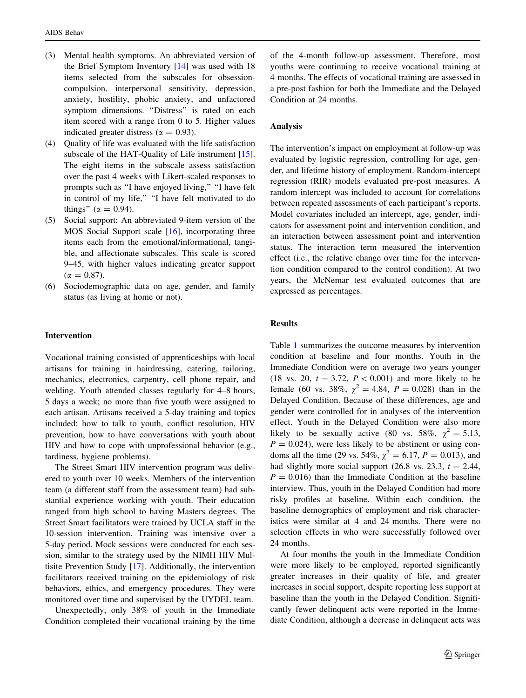- (3) Mental health symptoms. An abbreviated version of the Brief Symptom Inventory [\[14](#page-4-0)] was used with 18 items selected from the subscales for obsessioncompulsion, interpersonal sensitivity, depression, anxiety, hostility, phobic anxiety, and unfactored symptom dimensions. ''Distress'' is rated on each item scored with a range from 0 to 5. Higher values indicated greater distress ( $\alpha = 0.93$ ).
- (4) Quality of life was evaluated with the life satisfaction subscale of the HAT-Quality of Life instrument [\[15](#page-4-0)]. The eight items in the subscale assess satisfaction over the past 4 weeks with Likert-scaled responses to prompts such as ''I have enjoyed living,'' ''I have felt in control of my life," "I have felt motivated to do things" ( $\alpha = 0.94$ ).
- (5) Social support: An abbreviated 9-item version of the MOS Social Support scale [[16\]](#page-4-0), incorporating three items each from the emotional/informational, tangible, and affectionate subscales. This scale is scored 9–45, with higher values indicating greater support  $(\alpha = 0.87)$ .
- (6) Sociodemographic data on age, gender, and family status (as living at home or not).

#### Intervention

Vocational training consisted of apprenticeships with local artisans for training in hairdressing, catering, tailoring, mechanics, electronics, carpentry, cell phone repair, and welding. Youth attended classes regularly for 4–8 hours, 5 days a week; no more than five youth were assigned to each artisan. Artisans received a 5-day training and topics included: how to talk to youth, conflict resolution, HIV prevention, how to have conversations with youth about HIV and how to cope with unprofessional behavior (e.g., tardiness, hygiene problems).

The Street Smart HIV intervention program was delivered to youth over 10 weeks. Members of the intervention team (a different staff from the assessment team) had substantial experience working with youth. Their education ranged from high school to having Masters degrees. The Street Smart facilitators were trained by UCLA staff in the 10-session intervention. Training was intensive over a 5-day period. Mock sessions were conducted for each session, similar to the strategy used by the NIMH HIV Multisite Prevention Study [[17\]](#page-4-0). Additionally, the intervention facilitators received training on the epidemiology of risk behaviors, ethics, and emergency procedures. They were monitored over time and supervised by the UYDEL team.

Unexpectedly, only 38% of youth in the Immediate Condition completed their vocational training by the time

of the 4-month follow-up assessment. Therefore, most youths were continuing to receive vocational training at 4 months. The effects of vocational training are assessed in a pre-post fashion for both the Immediate and the Delayed Condition at 24 months.

#### Analysis

The intervention's impact on employment at follow-up was evaluated by logistic regression, controlling for age, gender, and lifetime history of employment. Random-intercept regression (RIR) models evaluated pre-post measures. A random intercept was included to account for correlations between repeated assessments of each participant's reports. Model covariates included an intercept, age, gender, indicators for assessment point and intervention condition, and an interaction between assessment point and intervention status. The interaction term measured the intervention effect (i.e., the relative change over time for the intervention condition compared to the control condition). At two years, the McNemar test evaluated outcomes that are expressed as percentages.

## Results

Table [1](#page-3-0) summarizes the outcome measures by intervention condition at baseline and four months. Youth in the Immediate Condition were on average two years younger (18 vs. 20,  $t = 3.72$ ,  $P < 0.001$ ) and more likely to be female (60 vs. 38%,  $\chi^2 = 4.84$ ,  $P = 0.028$ ) than in the Delayed Condition. Because of these differences, age and gender were controlled for in analyses of the intervention effect. Youth in the Delayed Condition were also more likely to be sexually active (80 vs. 58%,  $\chi^2 = 5.13$ ,  $P = 0.024$ , were less likely to be abstinent or using condoms all the time (29 vs. 54%,  $\chi^2 = 6.17$ ,  $P = 0.013$ ), and had slightly more social support (26.8 vs. 23.3,  $t = 2.44$ ,  $P = 0.016$ ) than the Immediate Condition at the baseline interview. Thus, youth in the Delayed Condition had more risky profiles at baseline. Within each condition, the baseline demographics of employment and risk characteristics were similar at 4 and 24 months. There were no selection effects in who were successfully followed over 24 months.

At four months the youth in the Immediate Condition were more likely to be employed, reported significantly greater increases in their quality of life, and greater increases in social support, despite reporting less support at baseline than the youth in the Delayed Condition. Significantly fewer delinquent acts were reported in the Immediate Condition, although a decrease in delinquent acts was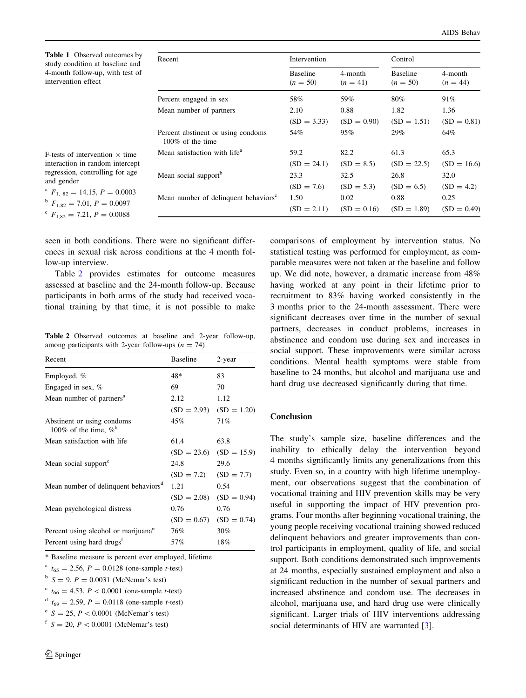<span id="page-3-0"></span>

| <b>Table 1</b> Observed outcomes by<br>study condition at baseline and<br>4-month follow-up, with test of<br>intervention effect                                                                                                       | Recent                                                    | Intervention                  |                       | Control                       |                       |
|----------------------------------------------------------------------------------------------------------------------------------------------------------------------------------------------------------------------------------------|-----------------------------------------------------------|-------------------------------|-----------------------|-------------------------------|-----------------------|
|                                                                                                                                                                                                                                        |                                                           | <b>Baseline</b><br>$(n = 50)$ | 4-month<br>$(n = 41)$ | <b>Baseline</b><br>$(n = 50)$ | 4-month<br>$(n = 44)$ |
|                                                                                                                                                                                                                                        | Percent engaged in sex                                    | 58%                           | 59%                   | 80%                           | 91%                   |
|                                                                                                                                                                                                                                        | Mean number of partners                                   | 2.10                          | 0.88                  | 1.82                          | 1.36                  |
|                                                                                                                                                                                                                                        |                                                           | $SD = 3.33$                   | $SD = 0.90$           | $SD = 1.51$                   | $(SD = 0.81)$         |
|                                                                                                                                                                                                                                        | Percent abstinent or using condoms<br>$100\%$ of the time | 54%                           | 95%                   | 29%                           | 64%                   |
| F-tests of intervention $\times$ time<br>interaction in random intercept<br>regression, controlling for age<br>and gender<br><sup>a</sup> $F_{1, 82} = 14.15, P = 0.0003$<br>$F_{1.82} = 7.01, P = 0.0097$<br>$C_{E} = 7.21 D = 0.008$ | Mean satisfaction with life <sup>a</sup>                  | 59.2                          | 82.2                  | 61.3                          | 65.3                  |
|                                                                                                                                                                                                                                        |                                                           | $SD = 24.1$                   | $(SD = 8.5)$          | $SD = 22.5$                   | $SD = 16.6$           |
|                                                                                                                                                                                                                                        | Mean social support <sup>b</sup>                          | 23.3                          | 32.5                  | 26.8                          | 32.0                  |
|                                                                                                                                                                                                                                        |                                                           | $(SD = 7.6)$                  | $(SD = 5.3)$          | $(SD = 6.5)$                  | $(SD = 4.2)$          |
|                                                                                                                                                                                                                                        | Mean number of delinquent behaviors <sup>c</sup>          | 1.50                          | 0.02                  | 0.88                          | 0.25                  |
|                                                                                                                                                                                                                                        |                                                           | $(SD = 2.11)$                 | $(SD = 0.16)$         | $SD = 1.89$                   | $(SD = 0.49)$         |

| <sup>a</sup> $F_{1, 82} = 14.15, P = 0.0003$ |
|----------------------------------------------|
| $^{b}$ $F_{1,82} = 7.01, P = 0.0097$         |

 $F_{1.82} = 7.21, P = 0.0088$ 

seen in both conditions. There were no significant differences in sexual risk across conditions at the 4 month follow-up interview.

Table 2 provides estimates for outcome measures assessed at baseline and the 24-month follow-up. Because participants in both arms of the study had received vocational training by that time, it is not possible to make

Table 2 Observed outcomes at baseline and 2-year follow-up, among participants with 2-year follow-ups  $(n = 74)$ 

| Recent                                                 | <b>Baseline</b> | 2-year        |
|--------------------------------------------------------|-----------------|---------------|
| Employed, %                                            | 48*             | 83            |
| Engaged in sex, $%$                                    | 69              | 70            |
| Mean number of partners <sup>a</sup>                   | 2.12            | 1.12          |
|                                                        | $SD = 2.93$     | $SD = 1.20$   |
| Abstinent or using condoms<br>100% of the time, $\%^b$ | 45%             | 71%           |
| Mean satisfaction with life                            | 61.4            | 63.8          |
|                                                        | $SD = 23.6$     | $SD = 15.9$   |
| Mean social support <sup>c</sup>                       | 24.8            | 29.6          |
|                                                        | $(SD = 7.2)$    | $SD = 7.7$    |
| Mean number of delinquent behaviors <sup>d</sup>       | 1.21            | 0.54          |
|                                                        | $SD = 2.08$     | $(SD = 0.94)$ |
| Mean psychological distress                            | 0.76            | 0.76          |
|                                                        | $SD = 0.67$     | $(SD = 0.74)$ |
| Percent using alcohol or marijuana <sup>e</sup>        | 76%             | 30%           |
| Percent using hard drugs <sup>f</sup>                  | 57%             | 18%           |

\* Baseline measure is percent ever employed, lifetime

<sup>a</sup>  $t_{65} = 2.56$ ,  $P = 0.0128$  (one-sample *t*-test)

 $b S = 9, P = 0.0031$  (McNemar's test)

 $c_{t66} = 4.53, P < 0.0001$  (one-sample t-test)

 $t_{69} = 2.59, P = 0.0118$  (one-sample *t*-test)

 $e^{e}$  S = 25, P < 0.0001 (McNemar's test)

 $f S = 20, P < 0.0001$  (McNemar's test)

comparisons of employment by intervention status. No statistical testing was performed for employment, as comparable measures were not taken at the baseline and follow up. We did note, however, a dramatic increase from 48% having worked at any point in their lifetime prior to recruitment to 83% having worked consistently in the 3 months prior to the 24-month assessment. There were significant decreases over time in the number of sexual partners, decreases in conduct problems, increases in abstinence and condom use during sex and increases in social support. These improvements were similar across conditions. Mental health symptoms were stable from baseline to 24 months, but alcohol and marijuana use and hard drug use decreased significantly during that time.

## Conclusion

The study's sample size, baseline differences and the inability to ethically delay the intervention beyond 4 months significantly limits any generalizations from this study. Even so, in a country with high lifetime unemployment, our observations suggest that the combination of vocational training and HIV prevention skills may be very useful in supporting the impact of HIV prevention programs. Four months after beginning vocational training, the young people receiving vocational training showed reduced delinquent behaviors and greater improvements than control participants in employment, quality of life, and social support. Both conditions demonstrated such improvements at 24 months, especially sustained employment and also a significant reduction in the number of sexual partners and increased abstinence and condom use. The decreases in alcohol, marijuana use, and hard drug use were clinically significant. Larger trials of HIV interventions addressing social determinants of HIV are warranted [[3\]](#page-4-0).